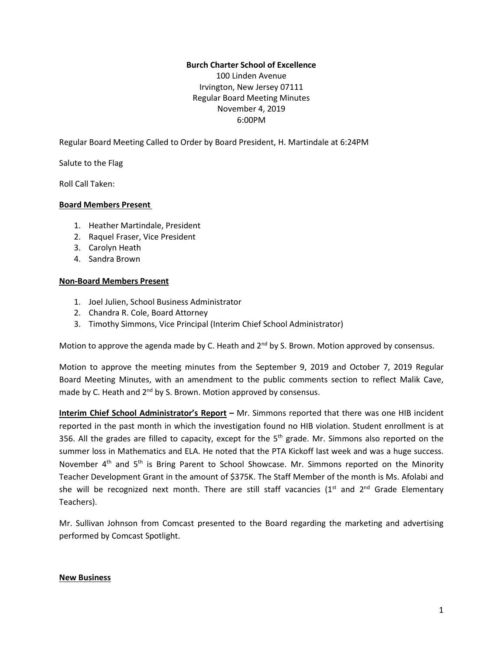## **Burch Charter School of Excellence**

100 Linden Avenue Irvington, New Jersey 07111 Regular Board Meeting Minutes November 4, 2019 6:00PM

Regular Board Meeting Called to Order by Board President, H. Martindale at 6:24PM

Salute to the Flag

Roll Call Taken:

#### **Board Members Present**

- 1. Heather Martindale, President
- 2. Raquel Fraser, Vice President
- 3. Carolyn Heath
- 4. Sandra Brown

#### **Non-Board Members Present**

- 1. Joel Julien, School Business Administrator
- 2. Chandra R. Cole, Board Attorney
- 3. Timothy Simmons, Vice Principal (Interim Chief School Administrator)

Motion to approve the agenda made by C. Heath and  $2<sup>nd</sup>$  by S. Brown. Motion approved by consensus.

Motion to approve the meeting minutes from the September 9, 2019 and October 7, 2019 Regular Board Meeting Minutes, with an amendment to the public comments section to reflect Malik Cave, made by C. Heath and 2<sup>nd</sup> by S. Brown. Motion approved by consensus.

**Interim Chief School Administrator's Report –** Mr. Simmons reported that there was one HIB incident reported in the past month in which the investigation found no HIB violation. Student enrollment is at 356. All the grades are filled to capacity, except for the  $5<sup>th</sup>$  grade. Mr. Simmons also reported on the summer loss in Mathematics and ELA. He noted that the PTA Kickoff last week and was a huge success. November 4<sup>th</sup> and 5<sup>th</sup> is Bring Parent to School Showcase. Mr. Simmons reported on the Minority Teacher Development Grant in the amount of \$375K. The Staff Member of the month is Ms. Afolabi and she will be recognized next month. There are still staff vacancies (1<sup>st</sup> and 2<sup>nd</sup> Grade Elementary Teachers).

Mr. Sullivan Johnson from Comcast presented to the Board regarding the marketing and advertising performed by Comcast Spotlight.

#### **New Business**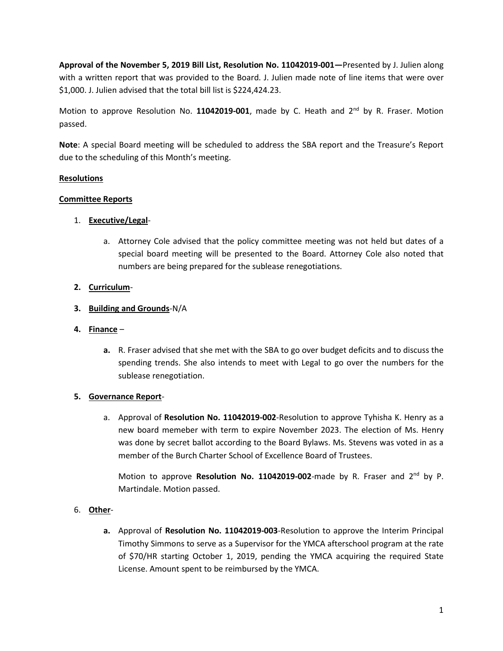**Approval of the November 5, 2019 Bill List, Resolution No. 11042019-001—**Presented by J. Julien along with a written report that was provided to the Board. J. Julien made note of line items that were over \$1,000. J. Julien advised that the total bill list is \$224,424.23.

Motion to approve Resolution No. 11042019-001, made by C. Heath and 2<sup>nd</sup> by R. Fraser. Motion passed.

**Note**: A special Board meeting will be scheduled to address the SBA report and the Treasure's Report due to the scheduling of this Month's meeting.

# **Resolutions**

## **Committee Reports**

## 1. **Executive/Legal**-

a. Attorney Cole advised that the policy committee meeting was not held but dates of a special board meeting will be presented to the Board. Attorney Cole also noted that numbers are being prepared for the sublease renegotiations.

## **2. Curriculum**-

## **3. Building and Grounds**-N/A

#### **4. Finance** –

**a.** R. Fraser advised that she met with the SBA to go over budget deficits and to discuss the spending trends. She also intends to meet with Legal to go over the numbers for the sublease renegotiation.

# **5. Governance Report**-

a. Approval of **Resolution No. 11042019-002**-Resolution to approve Tyhisha K. Henry as a new board memeber with term to expire November 2023. The election of Ms. Henry was done by secret ballot according to the Board Bylaws. Ms. Stevens was voted in as a member of the Burch Charter School of Excellence Board of Trustees.

Motion to approve Resolution No. 11042019-002-made by R. Fraser and 2<sup>nd</sup> by P. Martindale. Motion passed.

# 6. **Other**-

**a.** Approval of **Resolution No. 11042019-003**-Resolution to approve the Interim Principal Timothy Simmons to serve as a Supervisor for the YMCA afterschool program at the rate of \$70/HR starting October 1, 2019, pending the YMCA acquiring the required State License. Amount spent to be reimbursed by the YMCA.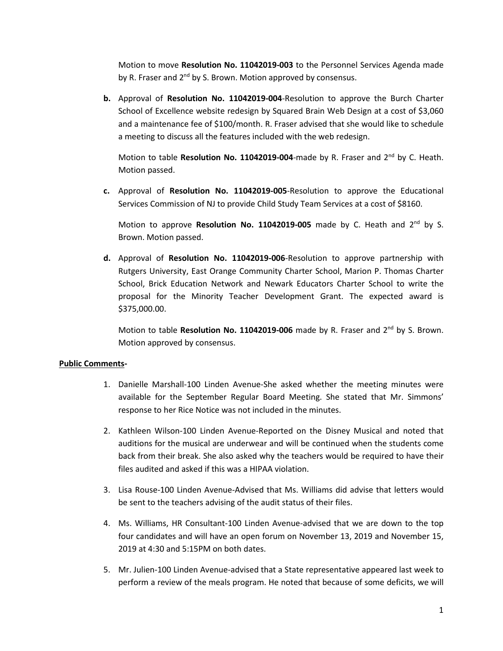Motion to move **Resolution No. 11042019-003** to the Personnel Services Agenda made by R. Fraser and 2<sup>nd</sup> by S. Brown. Motion approved by consensus.

**b.** Approval of **Resolution No. 11042019-004**-Resolution to approve the Burch Charter School of Excellence website redesign by Squared Brain Web Design at a cost of \$3,060 and a maintenance fee of \$100/month. R. Fraser advised that she would like to schedule a meeting to discuss all the features included with the web redesign.

Motion to table Resolution No. 11042019-004-made by R. Fraser and 2<sup>nd</sup> by C. Heath. Motion passed.

**c.** Approval of **Resolution No. 11042019-005**-Resolution to approve the Educational Services Commission of NJ to provide Child Study Team Services at a cost of \$8160.

Motion to approve Resolution No. 11042019-005 made by C. Heath and 2<sup>nd</sup> by S. Brown. Motion passed.

**d.** Approval of **Resolution No. 11042019-006**-Resolution to approve partnership with Rutgers University, East Orange Community Charter School, Marion P. Thomas Charter School, Brick Education Network and Newark Educators Charter School to write the proposal for the Minority Teacher Development Grant. The expected award is \$375,000.00.

Motion to table Resolution No. 11042019-006 made by R. Fraser and 2<sup>nd</sup> by S. Brown. Motion approved by consensus.

#### **Public Comments-**

- 1. Danielle Marshall-100 Linden Avenue-She asked whether the meeting minutes were available for the September Regular Board Meeting. She stated that Mr. Simmons' response to her Rice Notice was not included in the minutes.
- 2. Kathleen Wilson-100 Linden Avenue-Reported on the Disney Musical and noted that auditions for the musical are underwear and will be continued when the students come back from their break. She also asked why the teachers would be required to have their files audited and asked if this was a HIPAA violation.
- 3. Lisa Rouse-100 Linden Avenue-Advised that Ms. Williams did advise that letters would be sent to the teachers advising of the audit status of their files.
- 4. Ms. Williams, HR Consultant-100 Linden Avenue-advised that we are down to the top four candidates and will have an open forum on November 13, 2019 and November 15, 2019 at 4:30 and 5:15PM on both dates.
- 5. Mr. Julien-100 Linden Avenue-advised that a State representative appeared last week to perform a review of the meals program. He noted that because of some deficits, we will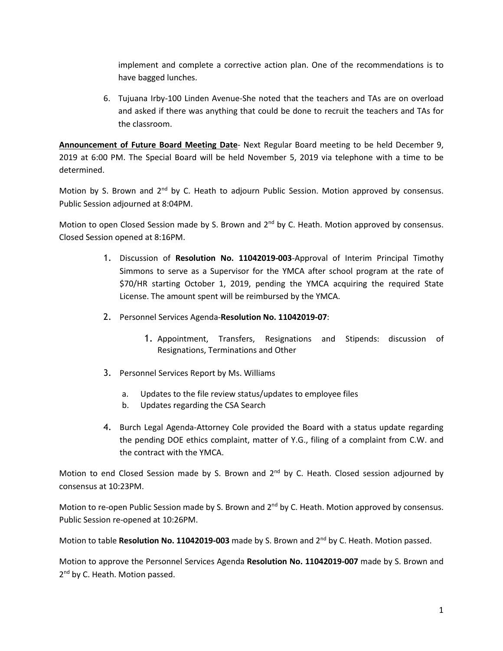implement and complete a corrective action plan. One of the recommendations is to have bagged lunches.

6. Tujuana Irby-100 Linden Avenue-She noted that the teachers and TAs are on overload and asked if there was anything that could be done to recruit the teachers and TAs for the classroom.

**Announcement of Future Board Meeting Date**- Next Regular Board meeting to be held December 9, 2019 at 6:00 PM. The Special Board will be held November 5, 2019 via telephone with a time to be determined.

Motion by S. Brown and 2<sup>nd</sup> by C. Heath to adjourn Public Session. Motion approved by consensus. Public Session adjourned at 8:04PM.

Motion to open Closed Session made by S. Brown and 2<sup>nd</sup> by C. Heath. Motion approved by consensus. Closed Session opened at 8:16PM.

- 1. Discussion of **Resolution No. 11042019-003**-Approval of Interim Principal Timothy Simmons to serve as a Supervisor for the YMCA after school program at the rate of \$70/HR starting October 1, 2019, pending the YMCA acquiring the required State License. The amount spent will be reimbursed by the YMCA.
- 2. Personnel Services Agenda-**Resolution No. 11042019-07**:
	- 1. Appointment, Transfers, Resignations and Stipends: discussion of Resignations, Terminations and Other
- 3. Personnel Services Report by Ms. Williams
	- a. Updates to the file review status/updates to employee files
	- b. Updates regarding the CSA Search
- 4. Burch Legal Agenda-Attorney Cole provided the Board with a status update regarding the pending DOE ethics complaint, matter of Y.G., filing of a complaint from C.W. and the contract with the YMCA.

Motion to end Closed Session made by S. Brown and 2<sup>nd</sup> by C. Heath. Closed session adjourned by consensus at 10:23PM.

Motion to re-open Public Session made by S. Brown and 2<sup>nd</sup> by C. Heath. Motion approved by consensus. Public Session re-opened at 10:26PM.

Motion to table Resolution No. 11042019-003 made by S. Brown and 2<sup>nd</sup> by C. Heath. Motion passed.

Motion to approve the Personnel Services Agenda **Resolution No. 11042019-007** made by S. Brown and 2<sup>nd</sup> by C. Heath. Motion passed.